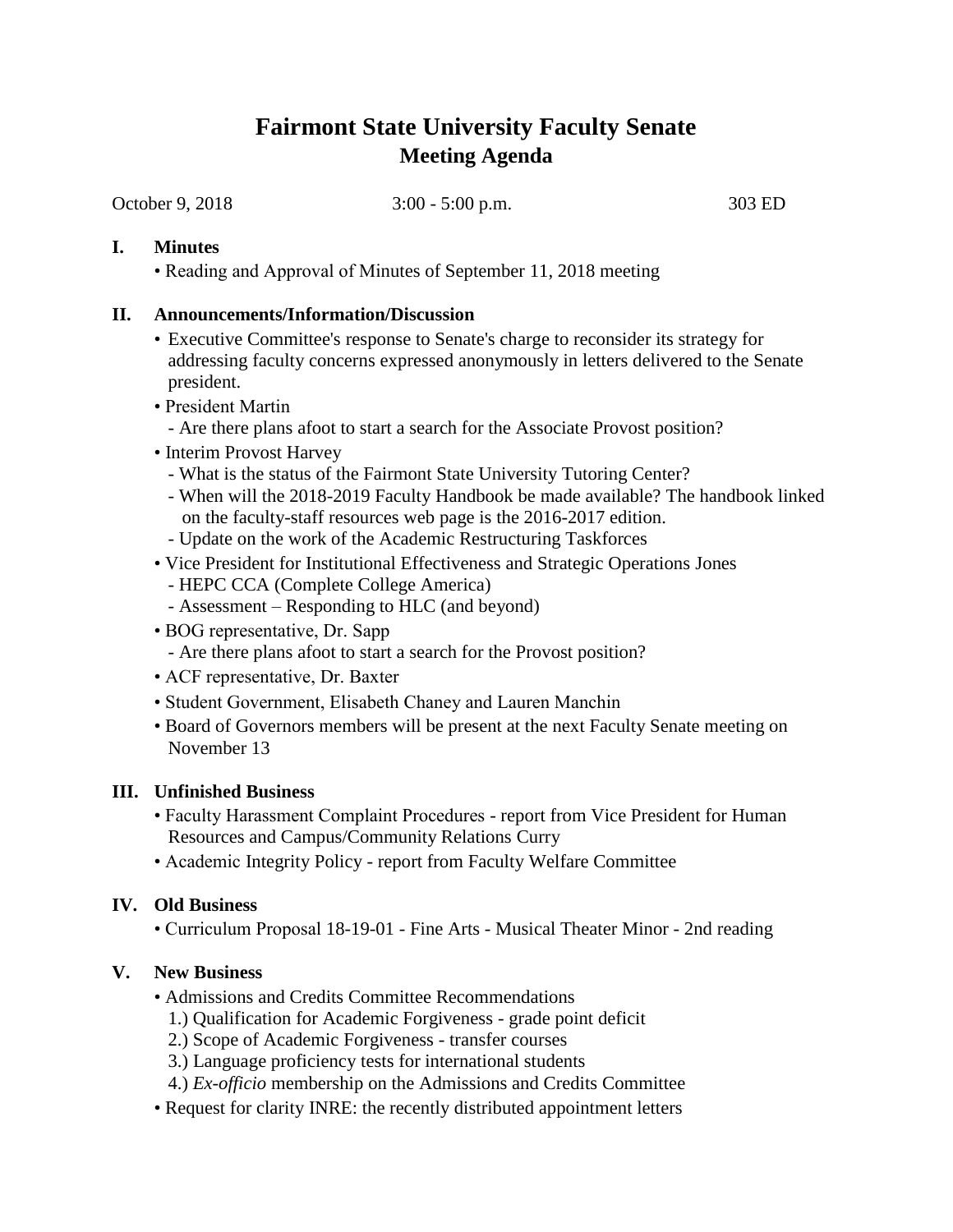# **Fairmont State University Faculty Senate Meeting Agenda**

October 9, 2018 3:00 - 5:00 p.m. 303 ED

#### **I. Minutes**

• Reading and Approval of Minutes of September 11, 2018 meeting

#### **II. Announcements/Information/Discussion**

- Executive Committee's response to Senate's charge to reconsider its strategy for addressing faculty concerns expressed anonymously in letters delivered to the Senate president.
- President Martin
	- Are there plans afoot to start a search for the Associate Provost position?
- Interim Provost Harvey
	- What is the status of the Fairmont State University Tutoring Center?
	- When will the 2018-2019 Faculty Handbook be made available? The handbook linked on the faculty-staff resources web page is the 2016-2017 edition.
	- Update on the work of the Academic Restructuring Taskforces
- Vice President for Institutional Effectiveness and Strategic Operations Jones
	- HEPC CCA (Complete College America)
	- Assessment Responding to HLC (and beyond)
- BOG representative, Dr. Sapp
	- Are there plans afoot to start a search for the Provost position?
- ACF representative, Dr. Baxter
- Student Government, Elisabeth Chaney and Lauren Manchin
- Board of Governors members will be present at the next Faculty Senate meeting on November 13

#### **III. Unfinished Business**

- Faculty Harassment Complaint Procedures report from Vice President for Human Resources and Campus/Community Relations Curry
- Academic Integrity Policy report from Faculty Welfare Committee

## **IV. Old Business**

• Curriculum Proposal 18-19-01 - Fine Arts - Musical Theater Minor - 2nd reading

## **V. New Business**

- Admissions and Credits Committee Recommendations
	- 1.) Qualification for Academic Forgiveness grade point deficit
	- 2.) Scope of Academic Forgiveness transfer courses
	- 3.) Language proficiency tests for international students
	- 4.) *Ex-officio* membership on the Admissions and Credits Committee
- Request for clarity INRE: the recently distributed appointment letters